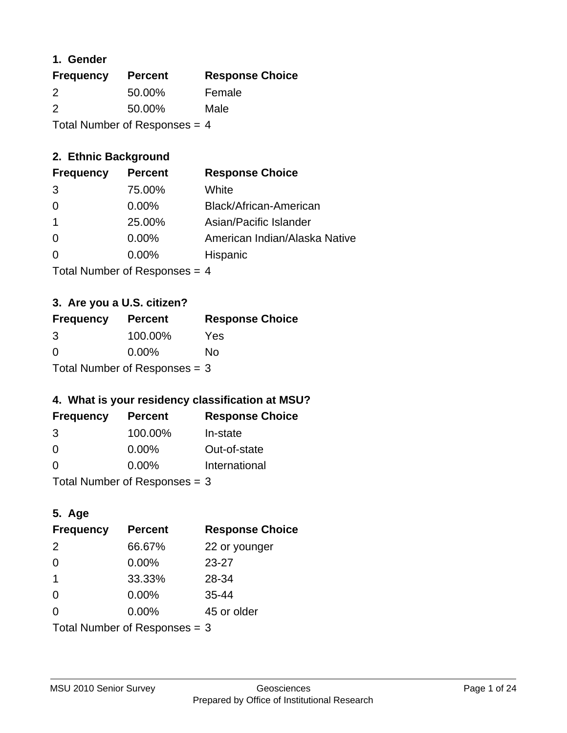### **1. Gender**

| <b>Frequency</b>                | <b>Percent</b> | <b>Response Choice</b> |
|---------------------------------|----------------|------------------------|
| 2                               | 50.00%         | Female                 |
| $\mathcal{P}$                   | 50.00%         | Male                   |
| Total Number of Responses $=$ 4 |                |                        |

# **2. Ethnic Background**

| <b>Frequency</b> | <b>Percent</b> | <b>Response Choice</b>        |
|------------------|----------------|-------------------------------|
| -3               | 75.00%         | White                         |
| $\Omega$         | $0.00\%$       | Black/African-American        |
|                  | 25.00%         | Asian/Pacific Islander        |
| $\Omega$         | $0.00\%$       | American Indian/Alaska Native |
|                  | $0.00\%$       | Hispanic                      |
|                  |                |                               |

Total Number of Responses = 4

# **3. Are you a U.S. citizen?**

| <b>Frequency</b>                | <b>Percent</b> | <b>Response Choice</b> |
|---------------------------------|----------------|------------------------|
| 3                               | 100.00%        | Yes                    |
| $\Omega$                        | $0.00\%$       | Nο                     |
| Total Number of Responses = $3$ |                |                        |

# **4. What is your residency classification at MSU?**

| <b>Frequency</b> | <b>Percent</b> | <b>Response Choice</b> |
|------------------|----------------|------------------------|
| 3                | 100.00%        | In-state               |
| 0                | $0.00\%$       | Out-of-state           |
| $\Omega$         | $0.00\%$       | International          |
|                  |                |                        |

Total Number of Responses = 3

# **5. Age**

| <b>Frequency</b>              | <b>Percent</b> | <b>Response Choice</b> |
|-------------------------------|----------------|------------------------|
| 2                             | 66.67%         | 22 or younger          |
| 0                             | 0.00%          | $23 - 27$              |
| $\overline{1}$                | 33.33%         | 28-34                  |
| $\Omega$                      | $0.00\%$       | $35 - 44$              |
| 0                             | 0.00%          | 45 or older            |
| Total Number of Responses = 3 |                |                        |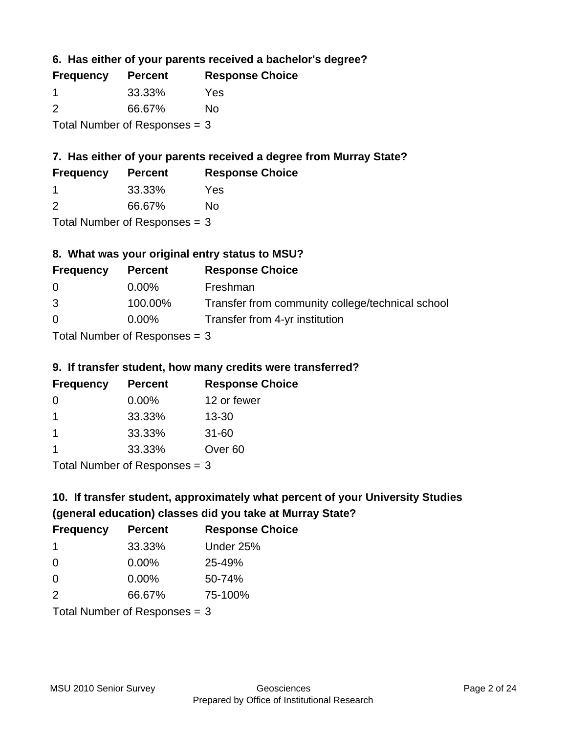**6. Has either of your parents received a bachelor's degree?**

| <b>Frequency</b>                | <b>Percent</b> | <b>Response Choice</b> |
|---------------------------------|----------------|------------------------|
| -1                              | 33.33%         | Yes                    |
| 2                               | 66.67%         | No                     |
| Total Number of Responses $=$ 3 |                |                        |

# **7. Has either of your parents received a degree from Murray State?**

| <b>Frequency</b> | <b>Percent</b> | <b>Response Choice</b> |
|------------------|----------------|------------------------|
|                  | 33.33%         | Yes                    |
|                  |                |                        |

2 66.67% No

Total Number of Responses = 3

# **8. What was your original entry status to MSU?**

| <b>Frequency</b> | <b>Percent</b>                  | <b>Response Choice</b>                           |
|------------------|---------------------------------|--------------------------------------------------|
| $\Omega$         | $0.00\%$                        | Freshman                                         |
| 3                | 100.00%                         | Transfer from community college/technical school |
| $\Omega$         | $0.00\%$                        | Transfer from 4-yr institution                   |
|                  | Total Number of Responses $=$ 3 |                                                  |

# **9. If transfer student, how many credits were transferred?**

| <b>Frequency</b>                | <b>Percent</b> | <b>Response Choice</b> |
|---------------------------------|----------------|------------------------|
| 0                               | $0.00\%$       | 12 or fewer            |
| -1                              | 33.33%         | 13-30                  |
| $\mathbf 1$                     | 33.33%         | $31 - 60$              |
| -1                              | 33.33%         | Over <sub>60</sub>     |
| Total Number of Responses $=$ 3 |                |                        |

# **10. If transfer student, approximately what percent of your University Studies (general education) classes did you take at Murray State?**

| <b>Frequency</b>                | <b>Percent</b> | <b>Response Choice</b> |
|---------------------------------|----------------|------------------------|
| -1                              | 33.33%         | Under 25%              |
| $\Omega$                        | $0.00\%$       | 25-49%                 |
| $\Omega$                        | 0.00%          | 50-74%                 |
| 2                               | 66.67%         | 75-100%                |
| Total Number of Responses = $3$ |                |                        |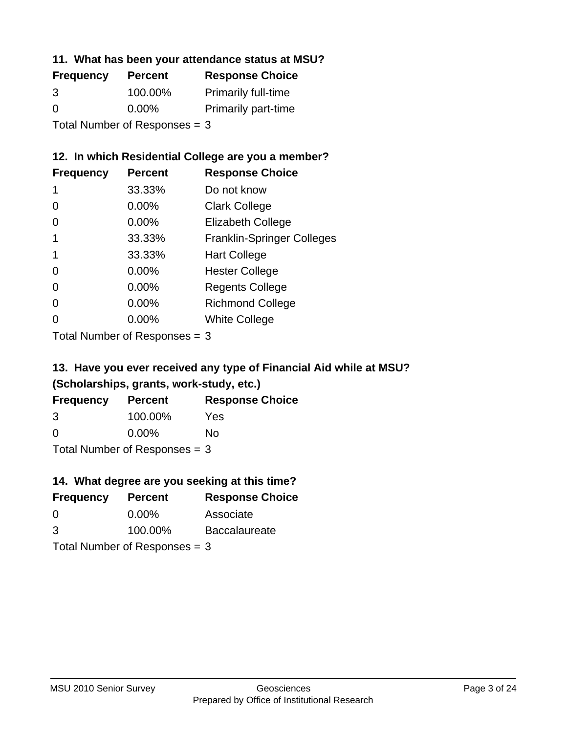### **11. What has been your attendance status at MSU?**

| <b>Frequency</b>              | <b>Percent</b> | <b>Response Choice</b>     |
|-------------------------------|----------------|----------------------------|
| 3                             | 100.00%        | <b>Primarily full-time</b> |
| $\Omega$                      | $0.00\%$       | <b>Primarily part-time</b> |
| Total Number of Responses = 3 |                |                            |

### **12. In which Residential College are you a member?**

| <b>Frequency</b> | <b>Percent</b> | <b>Response Choice</b>            |
|------------------|----------------|-----------------------------------|
| 1                | 33.33%         | Do not know                       |
| 0                | 0.00%          | <b>Clark College</b>              |
| 0                | 0.00%          | <b>Elizabeth College</b>          |
|                  | 33.33%         | <b>Franklin-Springer Colleges</b> |
|                  | 33.33%         | <b>Hart College</b>               |
| 0                | 0.00%          | <b>Hester College</b>             |
| 0                | 0.00%          | <b>Regents College</b>            |
| 0                | 0.00%          | <b>Richmond College</b>           |
| 0                | 0.00%          | <b>White College</b>              |

Total Number of Responses = 3

# **13. Have you ever received any type of Financial Aid while at MSU? (Scholarships, grants, work-study, etc.)**

| <b>Frequency</b>                | <b>Percent</b> | <b>Response Choice</b> |
|---------------------------------|----------------|------------------------|
| 3                               | 100.00%        | Yes                    |
| 0                               | $0.00\%$       | No                     |
| Total Number of Responses $=$ 3 |                |                        |

**14. What degree are you seeking at this time?**

| <b>Frequency</b> | <b>Percent</b>                  | <b>Response Choice</b> |
|------------------|---------------------------------|------------------------|
| $\Omega$         | $0.00\%$                        | Associate              |
| 3                | 100.00%                         | <b>Baccalaureate</b>   |
|                  | Total Number of Responses $=$ 3 |                        |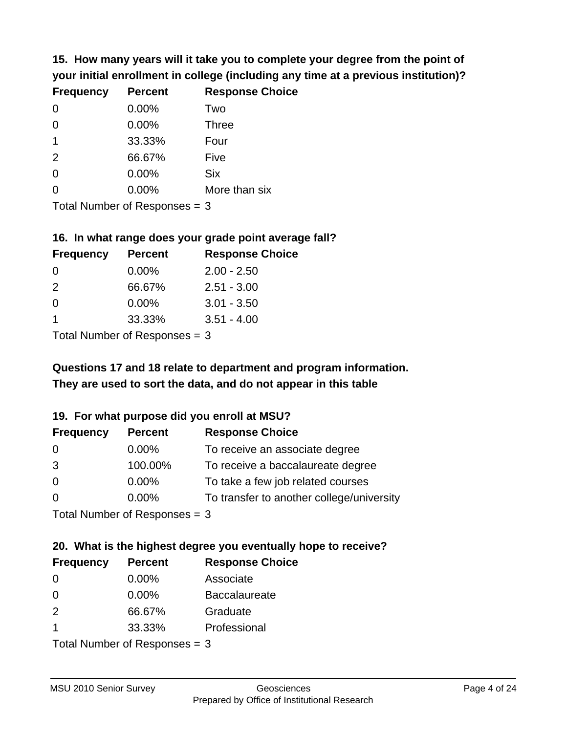**15. How many years will it take you to complete your degree from the point of your initial enrollment in college (including any time at a previous institution)?**

| <b>Frequency</b> | <b>Percent</b> | <b>Response Choice</b> |
|------------------|----------------|------------------------|
| 0                | 0.00%          | Two                    |
| $\Omega$         | 0.00%          | <b>Three</b>           |
| $\mathbf 1$      | 33.33%         | Four                   |
| 2                | 66.67%         | Five                   |
| 0                | 0.00%          | <b>Six</b>             |
| $\overline{0}$   | 0.00%          | More than six          |
|                  |                |                        |

Total Number of Responses = 3

#### **16. In what range does your grade point average fall?**

| <b>Frequency</b> | <b>Percent</b> | <b>Response Choice</b> |
|------------------|----------------|------------------------|
| -0               | $0.00\%$       | $2.00 - 2.50$          |
| $\mathcal{P}$    | 66.67%         | $2.51 - 3.00$          |
| $\Omega$         | 0.00%          | $3.01 - 3.50$          |
|                  | 33.33%         | $3.51 - 4.00$          |
|                  |                |                        |

Total Number of Responses = 3

# **They are used to sort the data, and do not appear in this table Questions 17 and 18 relate to department and program information.**

### **19. For what purpose did you enroll at MSU?**

| <b>Frequency</b> | <b>Percent</b>              | <b>Response Choice</b>                    |
|------------------|-----------------------------|-------------------------------------------|
| 0                | $0.00\%$                    | To receive an associate degree            |
| 3                | 100.00%                     | To receive a baccalaureate degree         |
| $\overline{0}$   | $0.00\%$                    | To take a few job related courses         |
| $\Omega$         | 0.00%                       | To transfer to another college/university |
|                  | Total Number of Despasses 2 |                                           |

I otal Number of Responses  $= 3$ 

# **20. What is the highest degree you eventually hope to receive?**

| <b>Frequency</b> | <b>Percent</b>                | <b>Response Choice</b> |
|------------------|-------------------------------|------------------------|
| 0                | $0.00\%$                      | Associate              |
| $\Omega$         | $0.00\%$                      | <b>Baccalaureate</b>   |
| 2                | 66.67%                        | Graduate               |
| -1               | 33.33%                        | Professional           |
|                  | Total Nives box of Doom owned |                        |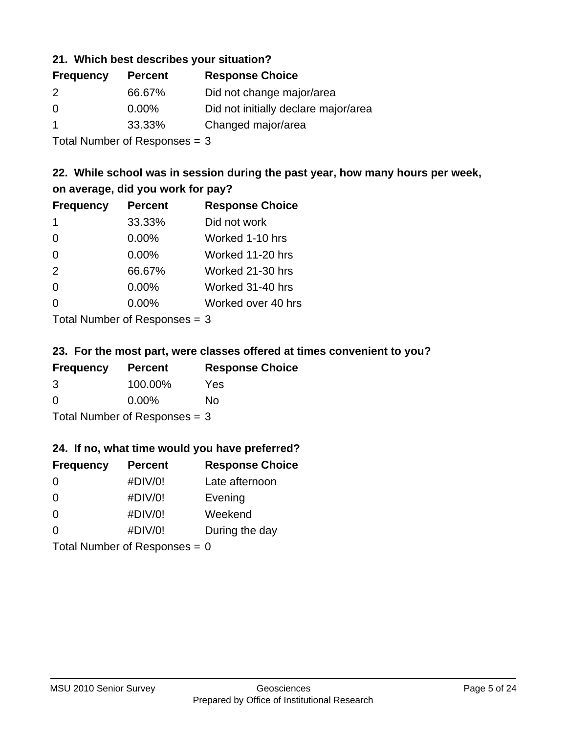### **21. Which best describes your situation?**

| <b>Frequency</b> | <b>Percent</b> | <b>Response Choice</b>               |
|------------------|----------------|--------------------------------------|
| 2                | 66.67%         | Did not change major/area            |
| $\Omega$         | $0.00\%$       | Did not initially declare major/area |
|                  | 33.33%         | Changed major/area                   |
|                  |                |                                      |

Total Number of Responses = 3

# **22. While school was in session during the past year, how many hours per week, on average, did you work for pay?**

| <b>Frequency</b> | <b>Percent</b> | <b>Response Choice</b> |
|------------------|----------------|------------------------|
| 1                | 33.33%         | Did not work           |
| $\Omega$         | 0.00%          | Worked 1-10 hrs        |
| $\Omega$         | 0.00%          | Worked 11-20 hrs       |
| 2                | 66.67%         | Worked 21-30 hrs       |
| $\Omega$         | 0.00%          | Worked 31-40 hrs       |
| $\Omega$         | 0.00%          | Worked over 40 hrs     |
|                  |                |                        |

Total Number of Responses = 3

### **23. For the most part, were classes offered at times convenient to you?**

| <b>Frequency</b>                | <b>Percent</b> | <b>Response Choice</b> |
|---------------------------------|----------------|------------------------|
| 3                               | 100.00%        | Yes                    |
| $\Omega$                        | $0.00\%$       | No                     |
| Total Number of Responses $=$ 3 |                |                        |

### **24. If no, what time would you have preferred?**

| <b>Frequency</b>                | <b>Percent</b> | <b>Response Choice</b> |
|---------------------------------|----------------|------------------------|
| $\Omega$                        | #DIV/0!        | Late afternoon         |
| $\Omega$                        | #DIV/0!        | Evening                |
| $\Omega$                        | #DIV/0!        | Weekend                |
| $\Omega$                        | #DIV/0!        | During the day         |
| Total Number of Responses = $0$ |                |                        |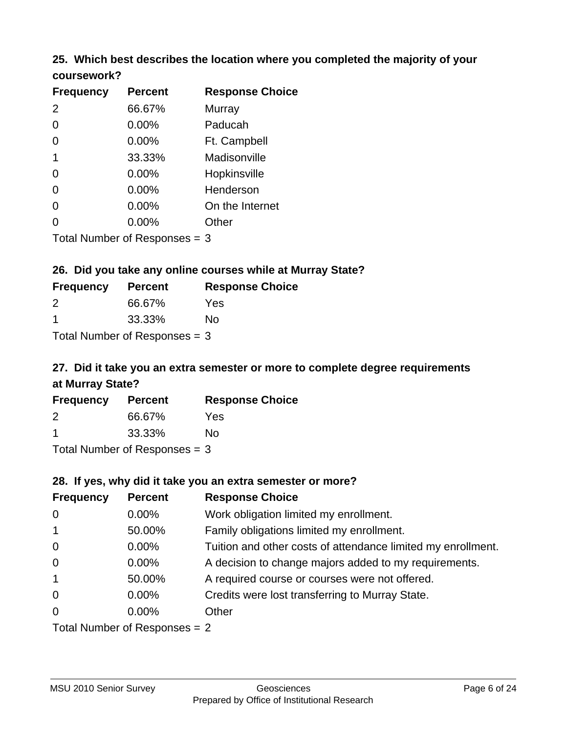## **25. Which best describes the location where you completed the majority of your coursework?**

| <b>Frequency</b> | <b>Percent</b>            | <b>Response Choice</b> |
|------------------|---------------------------|------------------------|
| 2                | 66.67%                    | Murray                 |
| 0                | 0.00%                     | Paducah                |
| 0                | 0.00%                     | Ft. Campbell           |
| $\mathbf 1$      | 33.33%                    | Madisonville           |
| 0                | 0.00%                     | Hopkinsville           |
| 0                | 0.00%                     | Henderson              |
| 0                | 0.00%                     | On the Internet        |
| 0                | 0.00%                     | Other                  |
|                  | Total Number of Deepensee |                        |

Total Number of Responses = 3

### **26. Did you take any online courses while at Murray State?**

| <b>Frequency</b>                | <b>Percent</b> | <b>Response Choice</b> |
|---------------------------------|----------------|------------------------|
| $\mathcal{P}$                   | 66.67%         | Yes                    |
| -1                              | 33.33%         | Nο                     |
| Total Number of Responses $=$ 3 |                |                        |

# **27. Did it take you an extra semester or more to complete degree requirements at Murray State?**

| <b>Frequency</b> | <b>Percent</b> | <b>Response Choice</b> |
|------------------|----------------|------------------------|
| 2                | 66.67%         | Yes                    |
|                  | 33.33%         | No                     |
|                  |                |                        |

Total Number of Responses = 3

### **28. If yes, why did it take you an extra semester or more?**

| <b>Frequency</b>                | <b>Percent</b> | <b>Response Choice</b>                                       |
|---------------------------------|----------------|--------------------------------------------------------------|
| $\mathbf 0$                     | $0.00\%$       | Work obligation limited my enrollment.                       |
| $\mathbf{1}$                    | 50.00%         | Family obligations limited my enrollment.                    |
| $\mathbf 0$                     | $0.00\%$       | Tuition and other costs of attendance limited my enrollment. |
| $\mathbf 0$                     | $0.00\%$       | A decision to change majors added to my requirements.        |
| $\overline{1}$                  | 50.00%         | A required course or courses were not offered.               |
| $\overline{0}$                  | $0.00\%$       | Credits were lost transferring to Murray State.              |
| $\overline{0}$                  | $0.00\%$       | Other                                                        |
| Total Number of Responses $= 2$ |                |                                                              |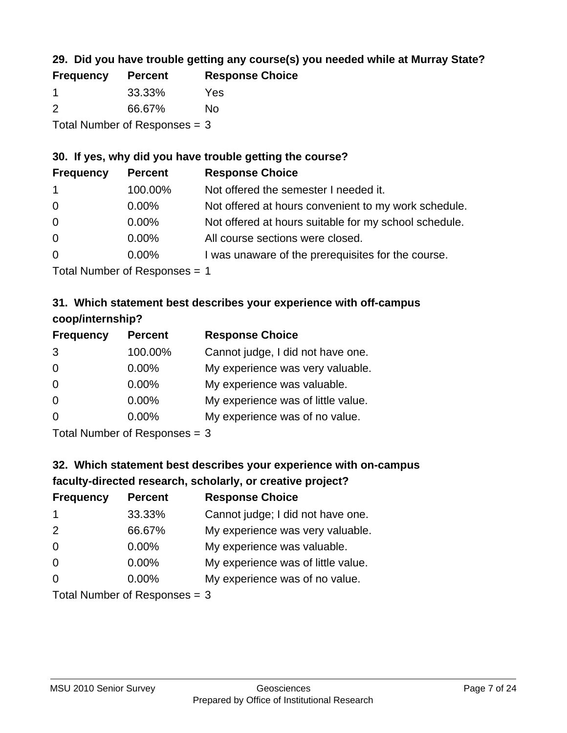# **29. Did you have trouble getting any course(s) you needed while at Murray State?**

| <b>Frequency</b>                | <b>Percent</b> | <b>Response Choice</b> |
|---------------------------------|----------------|------------------------|
|                                 | 33.33%         | Yes                    |
| $\mathcal{P}$                   | 66.67%         | No.                    |
| Total Number of Responses $=$ 3 |                |                        |

### **30. If yes, why did you have trouble getting the course?**

| <b>Frequency</b> | <b>Percent</b> | <b>Response Choice</b>                                |
|------------------|----------------|-------------------------------------------------------|
| $\overline{1}$   | 100.00%        | Not offered the semester I needed it.                 |
| $\overline{0}$   | $0.00\%$       | Not offered at hours convenient to my work schedule.  |
| $\overline{0}$   | $0.00\%$       | Not offered at hours suitable for my school schedule. |
| $\overline{0}$   | $0.00\%$       | All course sections were closed.                      |
| $\overline{0}$   | $0.00\%$       | I was unaware of the prerequisites for the course.    |
|                  |                |                                                       |

Total Number of Responses = 1

# **31. Which statement best describes your experience with off-campus coop/internship?**

| <b>Frequency</b> | <b>Percent</b>              | <b>Response Choice</b>             |
|------------------|-----------------------------|------------------------------------|
| 3                | 100.00%                     | Cannot judge, I did not have one.  |
| $\Omega$         | 0.00%                       | My experience was very valuable.   |
| $\Omega$         | $0.00\%$                    | My experience was valuable.        |
| $\Omega$         | 0.00%                       | My experience was of little value. |
| $\Omega$         | $0.00\%$                    | My experience was of no value.     |
|                  | Tatal Massakan af Dagmannar |                                    |

Total Number of Responses = 3

# **32. Which statement best describes your experience with on-campus faculty-directed research, scholarly, or creative project?**

| <b>Frequency</b> | <b>Percent</b>                 | <b>Response Choice</b>             |
|------------------|--------------------------------|------------------------------------|
| -1               | 33.33%                         | Cannot judge; I did not have one.  |
| 2                | 66.67%                         | My experience was very valuable.   |
| $\Omega$         | $0.00\%$                       | My experience was valuable.        |
| $\Omega$         | $0.00\%$                       | My experience was of little value. |
| $\Omega$         | $0.00\%$                       | My experience was of no value.     |
|                  | $Total Number of Denonone = 2$ |                                    |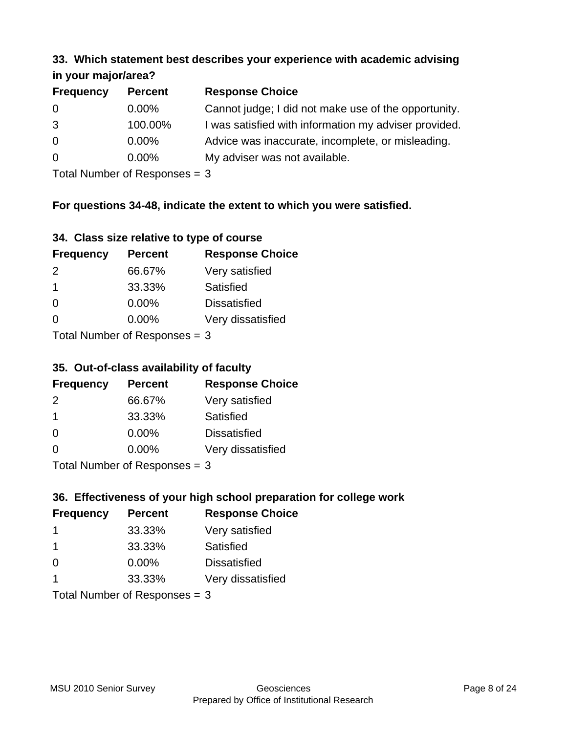#### **33. Which statement best describes your experience with academic advising in your major/area?**

| $\cdots$ your mapproved. |                |                                                       |
|--------------------------|----------------|-------------------------------------------------------|
| <b>Frequency</b>         | <b>Percent</b> | <b>Response Choice</b>                                |
| 0                        | $0.00\%$       | Cannot judge; I did not make use of the opportunity.  |
| 3                        | 100.00%        | I was satisfied with information my adviser provided. |
| $\overline{0}$           | 0.00%          | Advice was inaccurate, incomplete, or misleading.     |
| $\overline{0}$           | $0.00\%$       | My adviser was not available.                         |
|                          |                |                                                       |

Total Number of Responses = 3

## **For questions 34-48, indicate the extent to which you were satisfied.**

| 34. Class size relative to type of course |
|-------------------------------------------|
|-------------------------------------------|

| <b>Frequency</b>               | <b>Percent</b> | <b>Response Choice</b> |
|--------------------------------|----------------|------------------------|
| 2                              | 66.67%         | Very satisfied         |
| -1                             | 33.33%         | Satisfied              |
| $\Omega$                       | 0.00%          | <b>Dissatisfied</b>    |
| $\Omega$                       | $0.00\%$       | Very dissatisfied      |
| Total Number of Reconnege $-2$ |                |                        |

Total Number of Responses  $=$  3

# **35. Out-of-class availability of faculty**

| <b>Frequency</b>          | <b>Percent</b> | <b>Response Choice</b> |
|---------------------------|----------------|------------------------|
| $\mathcal{P}$             | 66.67%         | Very satisfied         |
| -1                        | 33.33%         | Satisfied              |
| $\Omega$                  | $0.00\%$       | <b>Dissatisfied</b>    |
| $\Omega$                  | 0.00%          | Very dissatisfied      |
| Total Number of Deepensee |                |                        |

Total Number of Responses = 3

# **36. Effectiveness of your high school preparation for college work**

| <b>Frequency</b> | <b>Percent</b>                 | <b>Response Choice</b> |
|------------------|--------------------------------|------------------------|
|                  | 33.33%                         | Very satisfied         |
| -1               | 33.33%                         | Satisfied              |
| $\Omega$         | 0.00%                          | <b>Dissatisfied</b>    |
|                  | 33.33%                         | Very dissatisfied      |
|                  | Total Number of Decreases $-2$ |                        |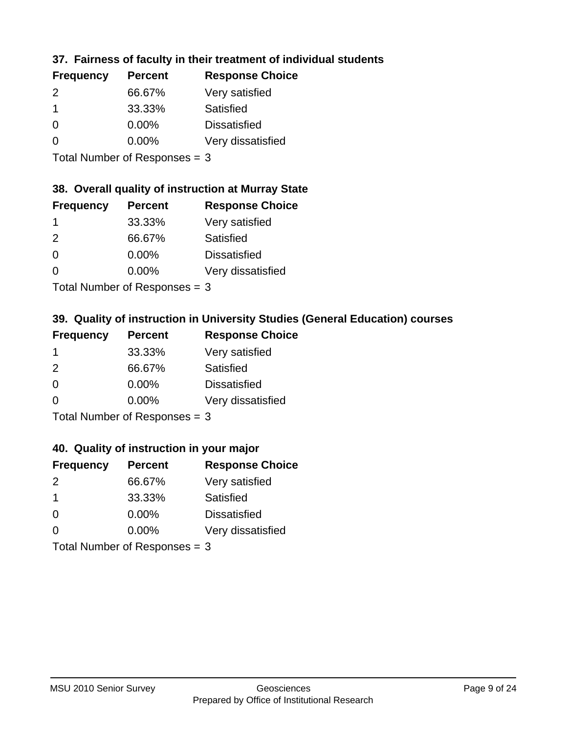# **37. Fairness of faculty in their treatment of individual students**

| <b>Frequency</b> | <b>Percent</b> | <b>Response Choice</b> |
|------------------|----------------|------------------------|
| $\mathcal{P}$    | 66.67%         | Very satisfied         |
|                  | 33.33%         | Satisfied              |
| $\Omega$         | $0.00\%$       | <b>Dissatisfied</b>    |
| $\Omega$         | 0.00%          | Very dissatisfied      |
|                  |                |                        |

Total Number of Responses = 3

### **38. Overall quality of instruction at Murray State**

| <b>Frequency</b> | <b>Percent</b> | <b>Response Choice</b> |
|------------------|----------------|------------------------|
|                  | 33.33%         | Very satisfied         |
| $\mathcal{P}$    | 66.67%         | Satisfied              |
| $\Omega$         | 0.00%          | <b>Dissatisfied</b>    |
| ∩                | 0.00%          | Very dissatisfied      |
|                  |                |                        |

Total Number of Responses  $= 3$ 

## **39. Quality of instruction in University Studies (General Education) courses**

| <b>Frequency</b> | <b>Percent</b>            | <b>Response Choice</b> |
|------------------|---------------------------|------------------------|
|                  | 33.33%                    | Very satisfied         |
| $\mathcal{P}$    | 66.67%                    | Satisfied              |
| $\Omega$         | 0.00%                     | <b>Dissatisfied</b>    |
| $\Omega$         | 0.00%                     | Very dissatisfied      |
|                  | The HILL of December 1999 |                        |

Total Number of Responses = 3

#### **40. Quality of instruction in your major**

| <b>Frequency</b> | <b>Percent</b>            | <b>Response Choice</b> |
|------------------|---------------------------|------------------------|
| $\mathcal{P}$    | 66.67%                    | Very satisfied         |
| $\mathbf 1$      | 33.33%                    | Satisfied              |
| $\Omega$         | 0.00%                     | <b>Dissatisfied</b>    |
| $\Omega$         | 0.00%                     | Very dissatisfied      |
|                  | Total Number of Deepensee |                        |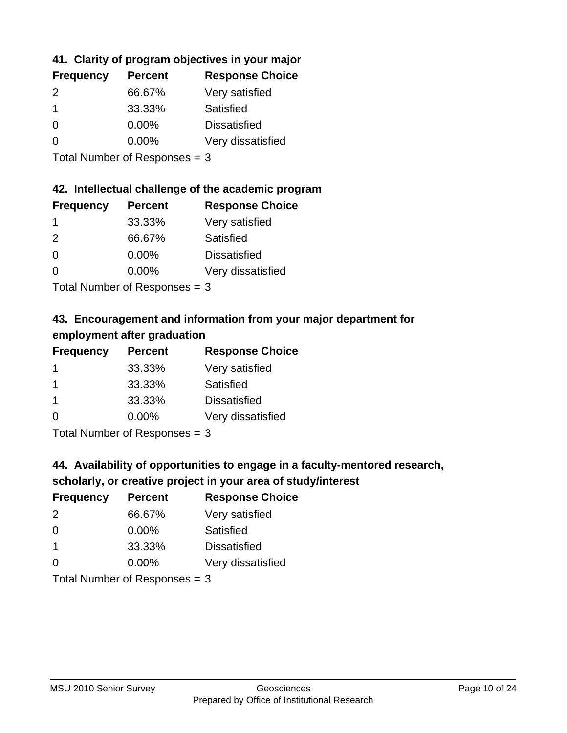# **41. Clarity of program objectives in your major**

| <b>Frequency</b> | <b>Percent</b> | <b>Response Choice</b> |
|------------------|----------------|------------------------|
| $\mathcal{P}$    | 66.67%         | Very satisfied         |
|                  | 33.33%         | Satisfied              |
| $\Omega$         | $0.00\%$       | <b>Dissatisfied</b>    |
| n                | $0.00\%$       | Very dissatisfied      |
|                  |                |                        |

Total Number of Responses = 3

### **42. Intellectual challenge of the academic program**

| <b>Frequency</b> | <b>Percent</b> | <b>Response Choice</b> |
|------------------|----------------|------------------------|
|                  | 33.33%         | Very satisfied         |
| $\mathcal{P}$    | 66.67%         | Satisfied              |
| $\Omega$         | 0.00%          | <b>Dissatisfied</b>    |
| ∩                | 0.00%          | Very dissatisfied      |
|                  |                |                        |

Total Number of Responses = 3

# **43. Encouragement and information from your major department for employment after graduation**

| <b>Frequency</b> | <b>Percent</b> | <b>Response Choice</b> |
|------------------|----------------|------------------------|
| -1               | 33.33%         | Very satisfied         |
| -1               | 33.33%         | Satisfied              |
| $\mathbf 1$      | 33.33%         | <b>Dissatisfied</b>    |
| 0                | 0.00%          | Very dissatisfied      |
|                  |                |                        |

Total Number of Responses = 3

# **44. Availability of opportunities to engage in a faculty-mentored research,**

### **scholarly, or creative project in your area of study/interest**

| <b>Frequency</b> | <b>Percent</b> | <b>Response Choice</b> |
|------------------|----------------|------------------------|
| $\mathcal{P}$    | 66.67%         | Very satisfied         |
| $\Omega$         | 0.00%          | Satisfied              |
|                  | 33.33%         | <b>Dissatisfied</b>    |
| $\Omega$         | 0.00%          | Very dissatisfied      |
|                  |                |                        |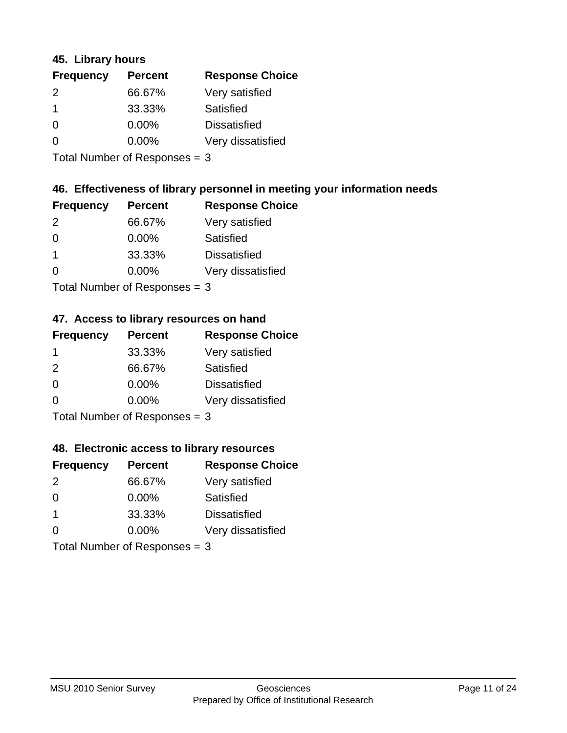### **45. Library hours**

| <b>Frequency</b> | <b>Percent</b> | <b>Response Choice</b> |
|------------------|----------------|------------------------|
| 2                | 66.67%         | Very satisfied         |
| $\mathbf 1$      | 33.33%         | Satisfied              |
| 0                | 0.00%          | <b>Dissatisfied</b>    |
| $\Omega$         | 0.00%          | Very dissatisfied      |
|                  |                |                        |

Total Number of Responses = 3

### **46. Effectiveness of library personnel in meeting your information needs**

| <b>Frequency</b> | <b>Percent</b> | <b>Response Choice</b> |
|------------------|----------------|------------------------|
| $\mathcal{P}$    | 66.67%         | Very satisfied         |
| $\Omega$         | $0.00\%$       | Satisfied              |
|                  | 33.33%         | <b>Dissatisfied</b>    |
| O                | $0.00\%$       | Very dissatisfied      |
|                  |                |                        |

Total Number of Responses = 3

# **47. Access to library resources on hand**

| <b>Frequency</b> | <b>Percent</b>            | <b>Response Choice</b> |
|------------------|---------------------------|------------------------|
| -1               | 33.33%                    | Very satisfied         |
| $\mathcal{P}$    | 66.67%                    | Satisfied              |
| $\Omega$         | $0.00\%$                  | <b>Dissatisfied</b>    |
| ∩                | $0.00\%$                  | Very dissatisfied      |
|                  | Total Number of Deepersee |                        |

Total Number of Responses = 3

### **48. Electronic access to library resources**

| <b>Frequency</b>              | <b>Percent</b> | <b>Response Choice</b> |
|-------------------------------|----------------|------------------------|
| $\mathcal{P}$                 | 66.67%         | Very satisfied         |
| $\Omega$                      | $0.00\%$       | <b>Satisfied</b>       |
| $\mathbf 1$                   | 33.33%         | <b>Dissatisfied</b>    |
| $\Omega$                      | $0.00\%$       | Very dissatisfied      |
| Total Number of Responses = 3 |                |                        |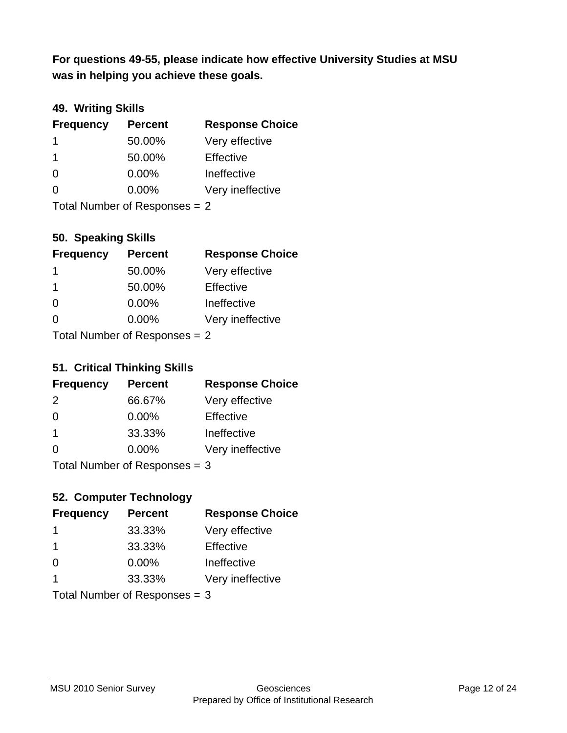**was in helping you achieve these goals. For questions 49-55, please indicate how effective University Studies at MSU** 

### **49. Writing Skills**

| <b>Frequency</b>              | <b>Percent</b> | <b>Response Choice</b> |
|-------------------------------|----------------|------------------------|
| 1                             | 50.00%         | Very effective         |
| -1                            | 50.00%         | Effective              |
| $\Omega$                      | $0.00\%$       | Ineffective            |
| $\Omega$                      | $0.00\%$       | Very ineffective       |
| Total Number of Responses = 2 |                |                        |

**50. Speaking Skills**

| <b>Frequency</b>              | <b>Percent</b> | <b>Response Choice</b> |
|-------------------------------|----------------|------------------------|
| $\mathbf 1$                   | 50.00%         | Very effective         |
| -1                            | 50.00%         | Effective              |
| $\Omega$                      | 0.00%          | Ineffective            |
| $\Omega$                      | 0.00%          | Very ineffective       |
| $Total Number of Denonce - 2$ |                |                        |

Total Number of Responses = 2

### **51. Critical Thinking Skills**

| <b>Frequency</b>          | <b>Percent</b> | <b>Response Choice</b> |
|---------------------------|----------------|------------------------|
| 2                         | 66.67%         | Very effective         |
| $\Omega$                  | 0.00%          | Effective              |
| $\mathbf 1$               | 33.33%         | Ineffective            |
| $\Omega$                  | 0.00%          | Very ineffective       |
| Total Number of Desponses |                |                        |

Total Number of Responses = 3

# **52. Computer Technology**

| <b>Frequency</b>              | <b>Percent</b> | <b>Response Choice</b> |
|-------------------------------|----------------|------------------------|
| -1                            | 33.33%         | Very effective         |
| -1                            | 33.33%         | Effective              |
| $\Omega$                      | $0.00\%$       | Ineffective            |
| $\overline{\mathbf{1}}$       | 33.33%         | Very ineffective       |
| Total Number of Responses = 3 |                |                        |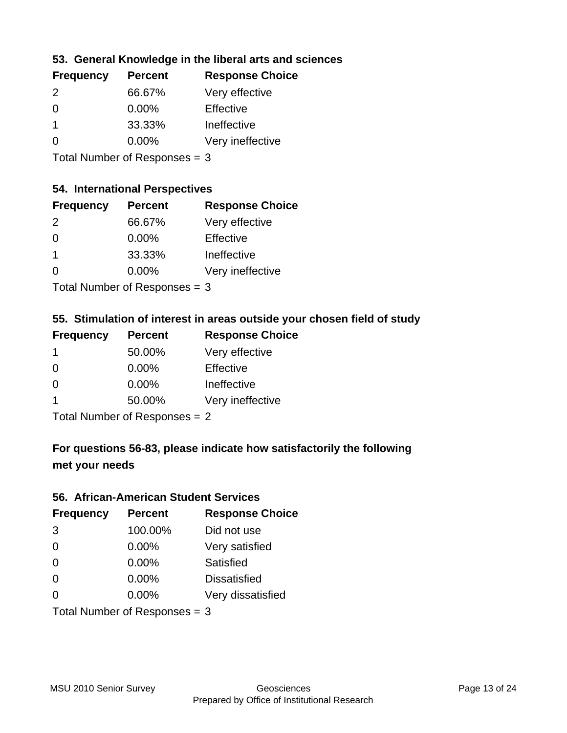### **53. General Knowledge in the liberal arts and sciences**

| <b>Frequency</b> | <b>Percent</b> | <b>Response Choice</b> |
|------------------|----------------|------------------------|
| $\mathcal{P}$    | 66.67%         | Very effective         |
| $\Omega$         | $0.00\%$       | Effective              |
|                  | 33.33%         | Ineffective            |
| $\Omega$         | 0.00%          | Very ineffective       |
|                  |                |                        |

Total Number of Responses = 3

#### **54. International Perspectives**

| <b>Frequency</b> | <b>Percent</b> | <b>Response Choice</b> |
|------------------|----------------|------------------------|
| $\mathcal{P}$    | 66.67%         | Very effective         |
| $\Omega$         | 0.00%          | Effective              |
| 1                | 33.33%         | Ineffective            |
| ∩                | 0.00%          | Very ineffective       |
|                  |                |                        |

Total Number of Responses = 3

# **55. Stimulation of interest in areas outside your chosen field of study**

| <b>Frequency</b> | <b>Percent</b>             | <b>Response Choice</b> |
|------------------|----------------------------|------------------------|
| 1                | 50.00%                     | Very effective         |
| $\Omega$         | 0.00%                      | Effective              |
| $\Omega$         | 0.00%                      | Ineffective            |
| 1                | 50.00%                     | Very ineffective       |
|                  | Total Number of Desperance |                        |

Total Number of Responses = 2

# **For questions 56-83, please indicate how satisfactorily the following met your needs**

#### **56. African-American Student Services**

| <b>Frequency</b> | <b>Percent</b>                  | <b>Response Choice</b> |
|------------------|---------------------------------|------------------------|
| 3                | 100.00%                         | Did not use            |
| $\Omega$         | 0.00%                           | Very satisfied         |
| $\Omega$         | 0.00%                           | Satisfied              |
| $\Omega$         | $0.00\%$                        | <b>Dissatisfied</b>    |
| $\Omega$         | 0.00%                           | Very dissatisfied      |
|                  | Total Number of Responses = $3$ |                        |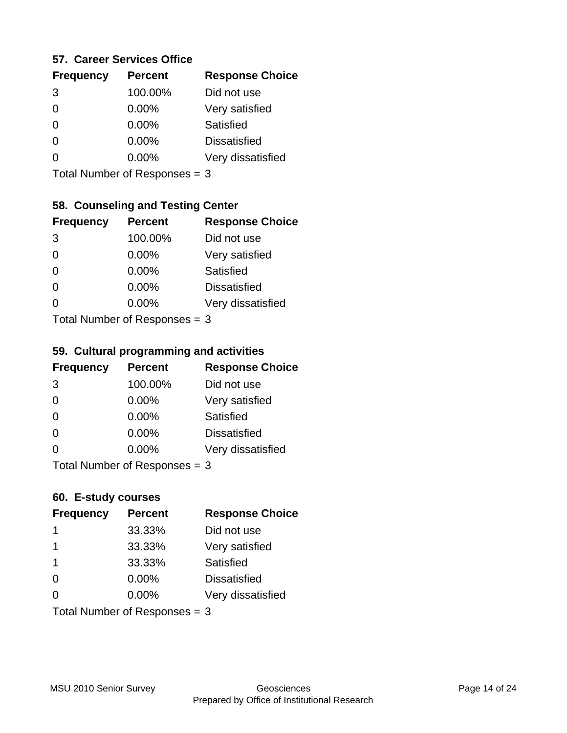### **57. Career Services Office**

| <b>Frequency</b> | <b>Percent</b> | <b>Response Choice</b> |
|------------------|----------------|------------------------|
| 3                | 100.00%        | Did not use            |
| 0                | $0.00\%$       | Very satisfied         |
| 0                | $0.00\%$       | Satisfied              |
|                  | $0.00\%$       | <b>Dissatisfied</b>    |
|                  | $0.00\%$       | Very dissatisfied      |
|                  |                |                        |

Total Number of Responses = 3

# **58. Counseling and Testing Center**

| <b>Frequency</b>          | <b>Percent</b> | <b>Response Choice</b> |
|---------------------------|----------------|------------------------|
| 3                         | 100.00%        | Did not use            |
| 0                         | 0.00%          | Very satisfied         |
| $\Omega$                  | $0.00\%$       | <b>Satisfied</b>       |
| 0                         | 0.00%          | <b>Dissatisfied</b>    |
| $\Omega$                  | $0.00\%$       | Very dissatisfied      |
| Total Number of Desponses |                |                        |

Total Number of Responses = 3

#### **59. Cultural programming and activities**

| <b>Frequency</b>                | <b>Percent</b> | <b>Response Choice</b> |
|---------------------------------|----------------|------------------------|
| 3                               | 100.00%        | Did not use            |
| $\Omega$                        | $0.00\%$       | Very satisfied         |
| $\Omega$                        | 0.00%          | Satisfied              |
| $\Omega$                        | $0.00\%$       | <b>Dissatisfied</b>    |
| $\Omega$                        | $0.00\%$       | Very dissatisfied      |
| Total Number of Responses $=$ 3 |                |                        |

### **60. E-study courses**

| <b>Frequency</b> | <b>Percent</b>                  | <b>Response Choice</b> |
|------------------|---------------------------------|------------------------|
| -1               | 33.33%                          | Did not use            |
|                  | 33.33%                          | Very satisfied         |
| $\mathbf 1$      | 33.33%                          | Satisfied              |
| $\Omega$         | $0.00\%$                        | <b>Dissatisfied</b>    |
| $\Omega$         | $0.00\%$                        | Very dissatisfied      |
|                  | Total Number of Responses = $3$ |                        |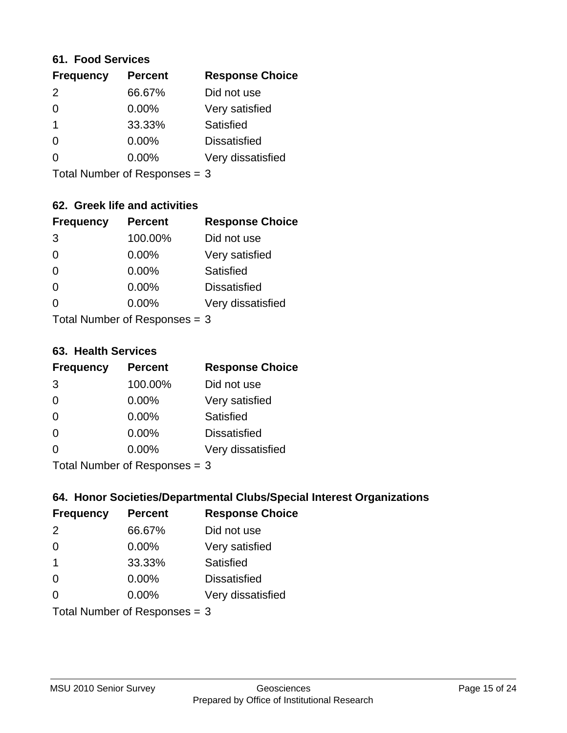#### **61. Food Services**

| <b>Frequency</b> | <b>Percent</b> | <b>Response Choice</b> |
|------------------|----------------|------------------------|
| 2                | 66.67%         | Did not use            |
| $\Omega$         | $0.00\%$       | Very satisfied         |
| -1               | 33.33%         | Satisfied              |
| $\Omega$         | $0.00\%$       | <b>Dissatisfied</b>    |
| O                | 0.00%          | Very dissatisfied      |
|                  |                |                        |

Total Number of Responses = 3

## **62. Greek life and activities**

| <b>Frequency</b> | <b>Percent</b>                  | <b>Response Choice</b> |
|------------------|---------------------------------|------------------------|
| 3                | 100.00%                         | Did not use            |
| 0                | 0.00%                           | Very satisfied         |
| $\Omega$         | 0.00%                           | Satisfied              |
| $\Omega$         | 0.00%                           | <b>Dissatisfied</b>    |
| O                | $0.00\%$                        | Very dissatisfied      |
|                  | Total Number of Responses $=$ 3 |                        |

**63. Health Services**

| <b>Frequency</b>          | <b>Percent</b> | <b>Response Choice</b> |
|---------------------------|----------------|------------------------|
| 3                         | 100.00%        | Did not use            |
| $\Omega$                  | 0.00%          | Very satisfied         |
| $\Omega$                  | $0.00\%$       | Satisfied              |
| $\Omega$                  | $0.00\%$       | <b>Dissatisfied</b>    |
| $\Omega$                  | $0.00\%$       | Very dissatisfied      |
| Total Number of Desponses |                |                        |

Total Number of Responses = 3

### **64. Honor Societies/Departmental Clubs/Special Interest Organizations**

| <b>Frequency</b>              | <b>Percent</b> | <b>Response Choice</b> |
|-------------------------------|----------------|------------------------|
| 2                             | 66.67%         | Did not use            |
| $\Omega$                      | $0.00\%$       | Very satisfied         |
| $\overline{\mathbf{1}}$       | 33.33%         | Satisfied              |
| $\Omega$                      | 0.00%          | <b>Dissatisfied</b>    |
| $\Omega$                      | 0.00%          | Very dissatisfied      |
| Total Number of Responses = 3 |                |                        |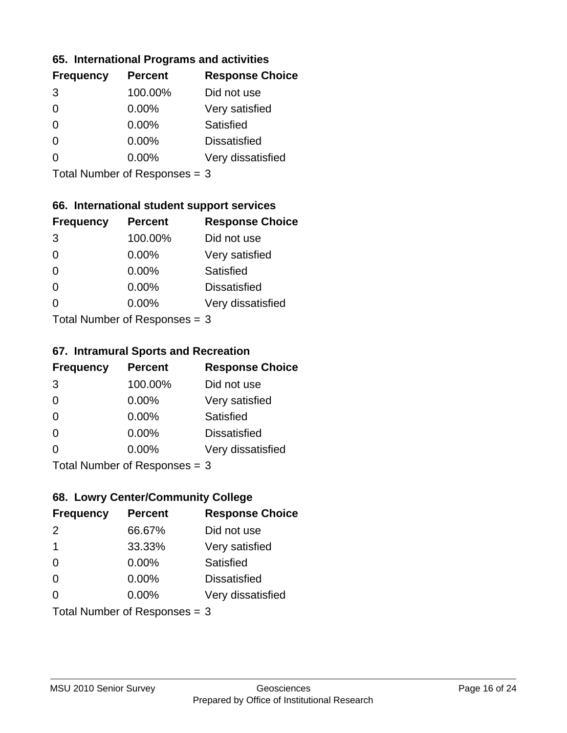### **65. International Programs and activities**

| <b>Frequency</b> | <b>Percent</b> | <b>Response Choice</b> |
|------------------|----------------|------------------------|
| 3                | 100.00%        | Did not use            |
| 0                | $0.00\%$       | Very satisfied         |
| 0                | $0.00\%$       | Satisfied              |
|                  | $0.00\%$       | <b>Dissatisfied</b>    |
|                  | $0.00\%$       | Very dissatisfied      |
|                  |                |                        |

Total Number of Responses = 3

## **66. International student support services**

| <b>Frequency</b>          | <b>Percent</b> | <b>Response Choice</b> |
|---------------------------|----------------|------------------------|
| 3                         | 100.00%        | Did not use            |
| $\Omega$                  | $0.00\%$       | Very satisfied         |
| $\Omega$                  | $0.00\%$       | Satisfied              |
| $\Omega$                  | 0.00%          | <b>Dissatisfied</b>    |
| 0                         | 0.00%          | Very dissatisfied      |
| Total Number of Desponses |                |                        |

Total Number of Responses = 3

#### **67. Intramural Sports and Recreation**

| <b>Frequency</b>               | <b>Percent</b> | <b>Response Choice</b> |
|--------------------------------|----------------|------------------------|
| 3                              | 100.00%        | Did not use            |
| $\Omega$                       | 0.00%          | Very satisfied         |
| $\Omega$                       | 0.00%          | Satisfied              |
| $\Omega$                       | $0.00\%$       | <b>Dissatisfied</b>    |
| $\Omega$                       | 0.00%          | Very dissatisfied      |
| Total Number of Poenonces $-2$ |                |                        |

Total Number of Responses = 3

# **68. Lowry Center/Community College**

| <b>Frequency</b>              | <b>Percent</b> | <b>Response Choice</b> |
|-------------------------------|----------------|------------------------|
| 2                             | 66.67%         | Did not use            |
| $\mathbf 1$                   | 33.33%         | Very satisfied         |
| $\Omega$                      | 0.00%          | Satisfied              |
| $\Omega$                      | $0.00\%$       | <b>Dissatisfied</b>    |
| $\Omega$                      | $0.00\%$       | Very dissatisfied      |
| Total Number of Responses = 3 |                |                        |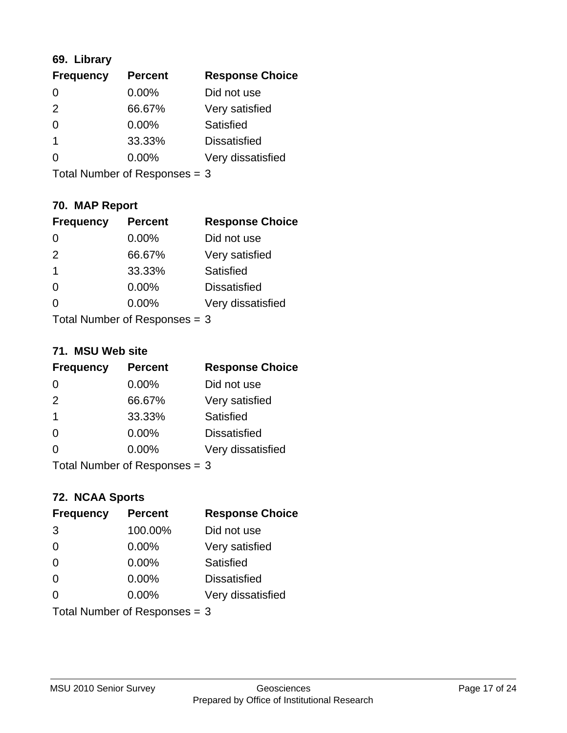# **69. Library**

| <b>Frequency</b> | <b>Percent</b> | <b>Response Choice</b> |
|------------------|----------------|------------------------|
| 0                | 0.00%          | Did not use            |
| $\mathcal{P}$    | 66.67%         | Very satisfied         |
| 0                | $0.00\%$       | <b>Satisfied</b>       |
|                  | 33.33%         | <b>Dissatisfied</b>    |
| O                | $0.00\%$       | Very dissatisfied      |
|                  |                |                        |

Total Number of Responses = 3

# **70. MAP Report**

| <b>Frequency</b>                | <b>Percent</b> | <b>Response Choice</b> |
|---------------------------------|----------------|------------------------|
|                                 | 0.00%          | Did not use            |
| 2                               | 66.67%         | Very satisfied         |
| 1                               | 33.33%         | Satisfied              |
| $\Omega$                        | 0.00%          | <b>Dissatisfied</b>    |
|                                 | $0.00\%$       | Very dissatisfied      |
| Total Number of Responses $=$ 3 |                |                        |

#### **71. MSU Web site**

| <b>Frequency</b> | <b>Percent</b>                | <b>Response Choice</b> |
|------------------|-------------------------------|------------------------|
| $\Omega$         | $0.00\%$                      | Did not use            |
| 2                | 66.67%                        | Very satisfied         |
| -1               | 33.33%                        | Satisfied              |
| $\Omega$         | 0.00%                         | <b>Dissatisfied</b>    |
| ∩                | 0.00%                         | Very dissatisfied      |
|                  | Total Number of Responses = 3 |                        |

### **72. NCAA Sports**

| <b>Frequency</b>                | <b>Percent</b> | <b>Response Choice</b> |
|---------------------------------|----------------|------------------------|
| 3                               | 100.00%        | Did not use            |
| $\Omega$                        | 0.00%          | Very satisfied         |
| $\Omega$                        | 0.00%          | Satisfied              |
| $\Omega$                        | $0.00\%$       | <b>Dissatisfied</b>    |
| $\Omega$                        | 0.00%          | Very dissatisfied      |
| Total Number of Responses $=$ 3 |                |                        |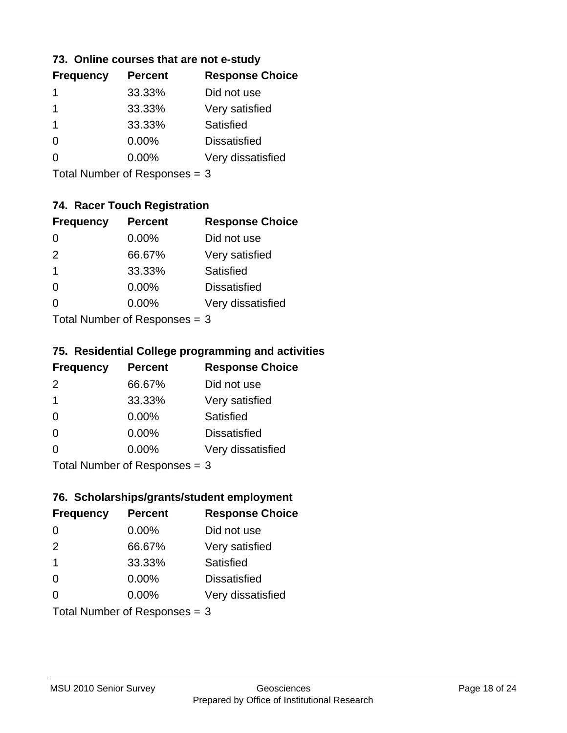### **73. Online courses that are not e-study**

| <b>Frequency</b> | <b>Percent</b> | <b>Response Choice</b> |
|------------------|----------------|------------------------|
|                  | 33.33%         | Did not use            |
|                  | 33.33%         | Very satisfied         |
|                  | 33.33%         | Satisfied              |
| $\Omega$         | $0.00\%$       | <b>Dissatisfied</b>    |
|                  | $0.00\%$       | Very dissatisfied      |
|                  |                |                        |

Total Number of Responses = 3

# **74. Racer Touch Registration**

| <b>Frequency</b>           | <b>Percent</b> | <b>Response Choice</b> |
|----------------------------|----------------|------------------------|
| 0                          | 0.00%          | Did not use            |
| 2                          | 66.67%         | Very satisfied         |
| 1                          | 33.33%         | <b>Satisfied</b>       |
| ∩                          | 0.00%          | <b>Dissatisfied</b>    |
| 0                          | 0.00%          | Very dissatisfied      |
| Total Number of Deepersoon |                |                        |

Total Number of Responses = 3

### **75. Residential College programming and activities**

| <b>Frequency</b>              | <b>Percent</b> | <b>Response Choice</b> |
|-------------------------------|----------------|------------------------|
| $\mathcal{P}$                 | 66.67%         | Did not use            |
| $\mathbf 1$                   | 33.33%         | Very satisfied         |
| $\Omega$                      | $0.00\%$       | <b>Satisfied</b>       |
| $\Omega$                      | 0.00%          | <b>Dissatisfied</b>    |
| $\Omega$                      | 0.00%          | Very dissatisfied      |
| $Total Number of Denonce = 2$ |                |                        |

Total Number of Responses = 3

# **76. Scholarships/grants/student employment**

| <b>Frequency</b>                | <b>Percent</b> | <b>Response Choice</b> |
|---------------------------------|----------------|------------------------|
| 0                               | 0.00%          | Did not use            |
| 2                               | 66.67%         | Very satisfied         |
| $\overline{1}$                  | 33.33%         | Satisfied              |
| $\Omega$                        | 0.00%          | <b>Dissatisfied</b>    |
| 0                               | $0.00\%$       | Very dissatisfied      |
| Total Number of Responses = $3$ |                |                        |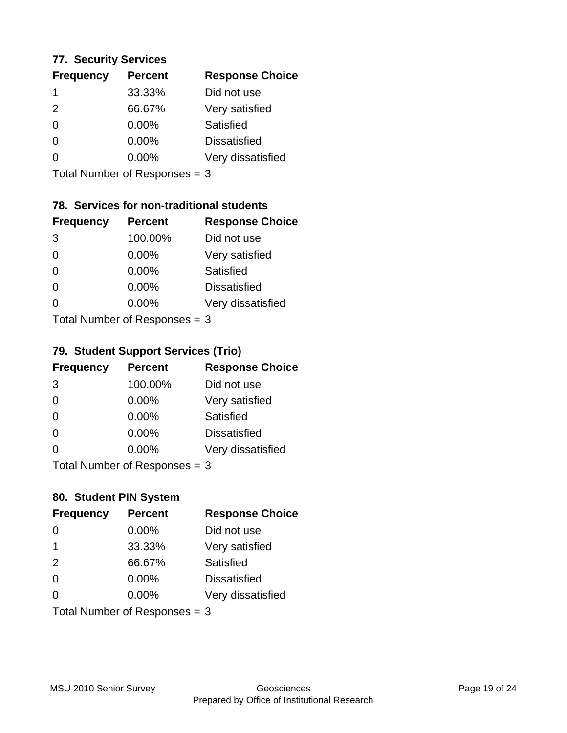### **77. Security Services**

| <b>Frequency</b> | <b>Percent</b> | <b>Response Choice</b> |
|------------------|----------------|------------------------|
|                  | 33.33%         | Did not use            |
| $\mathcal{P}$    | 66.67%         | Very satisfied         |
| $\Omega$         | $0.00\%$       | Satisfied              |
| ∩                | $0.00\%$       | <b>Dissatisfied</b>    |
|                  | $0.00\%$       | Very dissatisfied      |
|                  |                |                        |

Total Number of Responses = 3

# **78. Services for non-traditional students**

| <b>Frequency</b> | <b>Percent</b>            | <b>Response Choice</b> |
|------------------|---------------------------|------------------------|
| 3                | 100.00%                   | Did not use            |
| $\Omega$         | 0.00%                     | Very satisfied         |
| $\Omega$         | 0.00%                     | <b>Satisfied</b>       |
| $\Omega$         | 0.00%                     | <b>Dissatisfied</b>    |
| 0                | 0.00%                     | Very dissatisfied      |
|                  | Total Number of DoEROR 0. |                        |

Total Number of Responses = 3

### **79. Student Support Services (Trio)**

| <b>Frequency</b>          | <b>Percent</b> | <b>Response Choice</b> |
|---------------------------|----------------|------------------------|
| 3                         | 100.00%        | Did not use            |
| $\Omega$                  | 0.00%          | Very satisfied         |
| $\Omega$                  | 0.00%          | Satisfied              |
| $\Omega$                  | 0.00%          | <b>Dissatisfied</b>    |
| $\Omega$                  | 0.00%          | Very dissatisfied      |
| Total Number of Desponses |                |                        |

Total Number of Responses = 3

### **80. Student PIN System**

| <b>Frequency</b> | <b>Percent</b>                | <b>Response Choice</b> |
|------------------|-------------------------------|------------------------|
| 0                | $0.00\%$                      | Did not use            |
| $\mathbf 1$      | 33.33%                        | Very satisfied         |
| 2                | 66.67%                        | Satisfied              |
| $\Omega$         | $0.00\%$                      | <b>Dissatisfied</b>    |
| $\Omega$         | $0.00\%$                      | Very dissatisfied      |
|                  | Total Number of Responses = 3 |                        |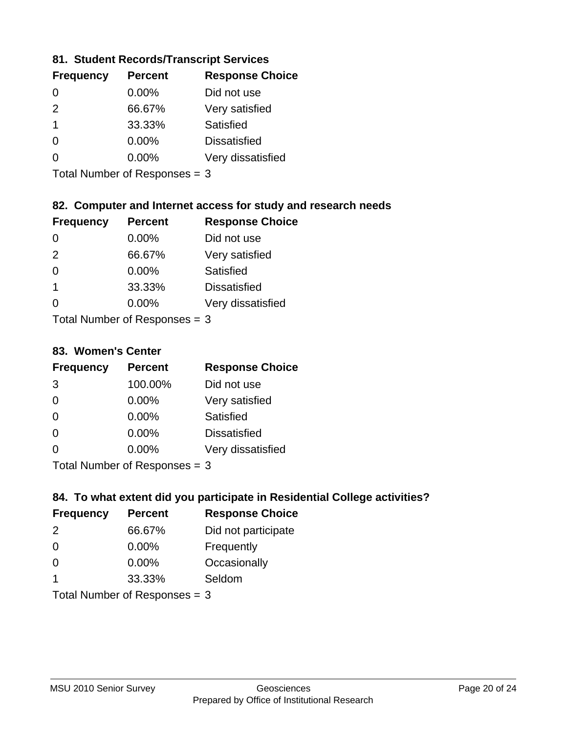### **81. Student Records/Transcript Services**

| <b>Percent</b> | <b>Response Choice</b> |
|----------------|------------------------|
| $0.00\%$       | Did not use            |
| 66.67%         | Very satisfied         |
| 33.33%         | Satisfied              |
| 0.00%          | <b>Dissatisfied</b>    |
| $0.00\%$       | Very dissatisfied      |
|                |                        |

Total Number of Responses = 3

## **82. Computer and Internet access for study and research needs**

| <b>Frequency</b>          | <b>Percent</b> | <b>Response Choice</b> |
|---------------------------|----------------|------------------------|
| 0                         | 0.00%          | Did not use            |
| 2                         | 66.67%         | Very satisfied         |
| $\Omega$                  | 0.00%          | Satisfied              |
| -1                        | 33.33%         | <b>Dissatisfied</b>    |
| ∩                         | 0.00%          | Very dissatisfied      |
| Total Number of Deepersee |                |                        |

Total Number of Responses = 3

#### **83. Women's Center**

| <b>Frequency</b>          | <b>Percent</b> | <b>Response Choice</b> |
|---------------------------|----------------|------------------------|
| 3                         | 100.00%        | Did not use            |
| $\Omega$                  | $0.00\%$       | Very satisfied         |
| $\Omega$                  | $0.00\%$       | Satisfied              |
| $\Omega$                  | $0.00\%$       | <b>Dissatisfied</b>    |
| $\Omega$                  | 0.00%          | Very dissatisfied      |
| Total Number of Desponses |                |                        |

Total Number of Responses = 3

### **84. To what extent did you participate in Residential College activities?**

| <b>Frequency</b> | <b>Percent</b>                | <b>Response Choice</b> |
|------------------|-------------------------------|------------------------|
| $\mathcal{P}$    | 66.67%                        | Did not participate    |
| $\Omega$         | 0.00%                         | Frequently             |
| $\Omega$         | $0.00\%$                      | Occasionally           |
| -1               | 33.33%                        | Seldom                 |
|                  | $Total Number of Denonce - 2$ |                        |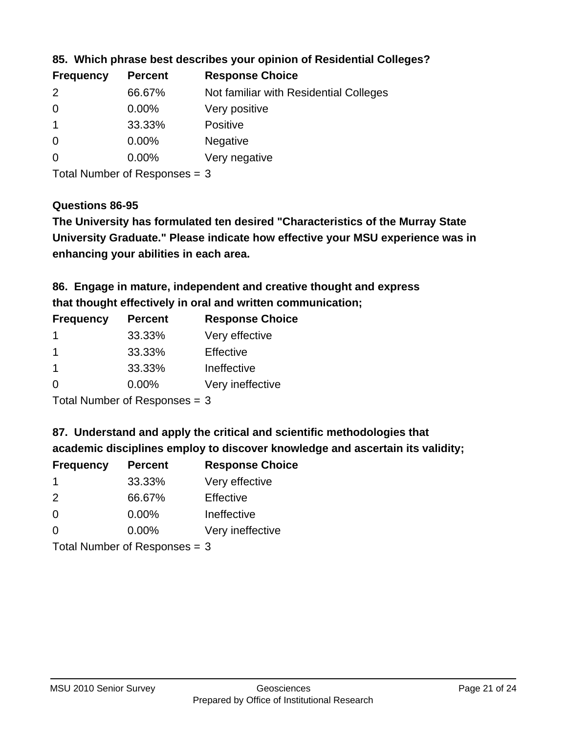| <b>Frequency</b> | <b>Percent</b> | <b>Response Choice</b>                 |
|------------------|----------------|----------------------------------------|
| $\mathcal{P}$    | 66.67%         | Not familiar with Residential Colleges |
| $\overline{0}$   | 0.00%          | Very positive                          |
|                  | 33.33%         | <b>Positive</b>                        |
| $\overline{0}$   | $0.00\%$       | <b>Negative</b>                        |
| -0               | $0.00\%$       | Very negative                          |
|                  |                |                                        |

**85. Which phrase best describes your opinion of Residential Colleges?**

Total Number of Responses = 3

#### **Questions 86-95**

**University Graduate." Please indicate how effective your MSU experience was in The University has formulated ten desired "Characteristics of the Murray State enhancing your abilities in each area.**

**86. Engage in mature, independent and creative thought and express that thought effectively in oral and written communication;**

| <b>Frequency</b> | <b>Percent</b> | <b>Response Choice</b> |
|------------------|----------------|------------------------|
|                  | 33.33%         | Very effective         |
|                  | 33.33%         | Effective              |
|                  | 33.33%         | Ineffective            |
| ∩                | $0.00\%$       | Very ineffective       |

Total Number of Responses = 3

**87. Understand and apply the critical and scientific methodologies that** 

**academic disciplines employ to discover knowledge and ascertain its validity;**

| <b>Frequency</b> | <b>Percent</b> | <b>Response Choice</b> |
|------------------|----------------|------------------------|
|                  | 33.33%         | Very effective         |
| $\mathcal{P}$    | 66.67%         | Effective              |
| $\Omega$         | 0.00%          | Ineffective            |
| $\Omega$         | 0.00%          | Very ineffective       |
|                  |                |                        |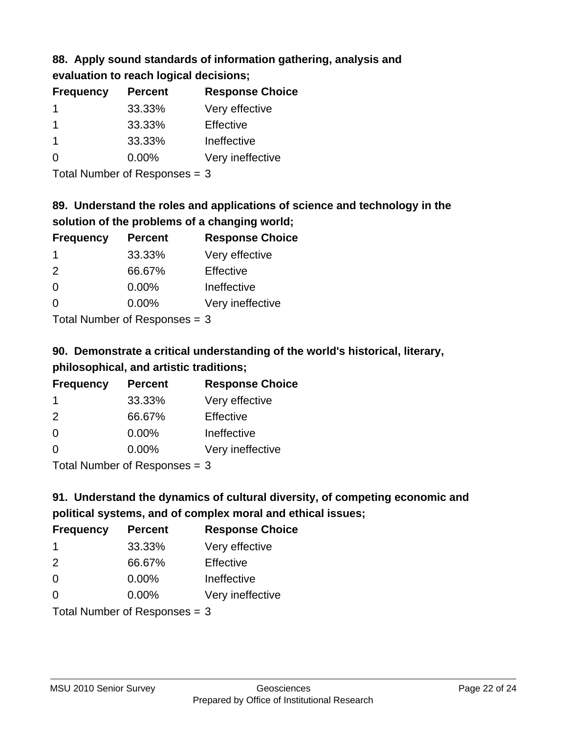# **88. Apply sound standards of information gathering, analysis and evaluation to reach logical decisions;**

| <b>Frequency</b> | <b>Percent</b> | <b>Response Choice</b> |
|------------------|----------------|------------------------|
|                  | 33.33%         | Very effective         |
|                  | 33.33%         | Effective              |
|                  | 33.33%         | Ineffective            |
| O                | $0.00\%$       | Very ineffective       |

Total Number of Responses = 3

# **89. Understand the roles and applications of science and technology in the solution of the problems of a changing world;**

| <b>Frequency</b> | <b>Percent</b>                           | <b>Response Choice</b> |
|------------------|------------------------------------------|------------------------|
| -1               | 33.33%                                   | Very effective         |
| 2                | 66.67%                                   | Effective              |
| $\Omega$         | 0.00%                                    | Ineffective            |
| $\Omega$         | 0.00%                                    | Very ineffective       |
|                  | $\mathbf{r}$ . The state of $\mathbf{r}$ |                        |

Total Number of Responses = 3

# **90. Demonstrate a critical understanding of the world's historical, literary, philosophical, and artistic traditions;**

| <b>Frequency</b> | <b>Percent</b> | <b>Response Choice</b> |
|------------------|----------------|------------------------|
| -1               | 33.33%         | Very effective         |
| $\mathcal{P}$    | 66.67%         | Effective              |
| $\Omega$         | 0.00%          | Ineffective            |
| $\Omega$         | 0.00%          | Very ineffective       |
|                  |                |                        |

Total Number of Responses = 3

# **91. Understand the dynamics of cultural diversity, of competing economic and political systems, and of complex moral and ethical issues;**

| <b>Frequency</b> | <b>Percent</b>                | <b>Response Choice</b> |
|------------------|-------------------------------|------------------------|
| -1               | 33.33%                        | Very effective         |
| 2                | 66.67%                        | Effective              |
| 0                | $0.00\%$                      | Ineffective            |
| $\Omega$         | $0.00\%$                      | Very ineffective       |
|                  | Total Number of Responses = 3 |                        |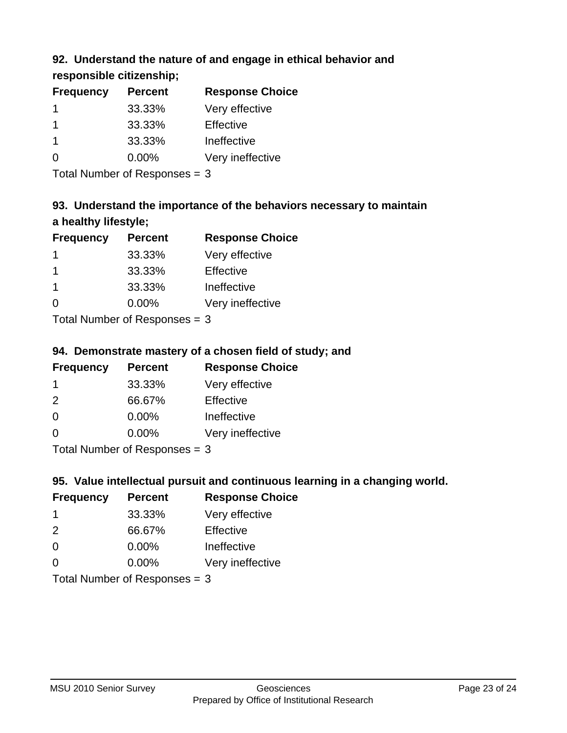# **92. Understand the nature of and engage in ethical behavior and**

**responsible citizenship;**

| <b>Percent</b> | <b>Response Choice</b> |
|----------------|------------------------|
| 33.33%         | Very effective         |
| 33.33%         | Effective              |
| 33.33%         | Ineffective            |
| $0.00\%$       | Very ineffective       |
|                |                        |

Total Number of Responses = 3

# **93. Understand the importance of the behaviors necessary to maintain a healthy lifestyle;**

| <b>Frequency</b>          | <b>Percent</b> | <b>Response Choice</b> |
|---------------------------|----------------|------------------------|
|                           | 33.33%         | Very effective         |
| -1                        | 33.33%         | Effective              |
| -1                        | 33.33%         | Ineffective            |
| $\Omega$                  | $0.00\%$       | Very ineffective       |
| Total Number of Deepenses |                |                        |

Total Number of Responses = 3

# **94. Demonstrate mastery of a chosen field of study; and**

| <b>Frequency</b> | <b>Percent</b> | <b>Response Choice</b> |
|------------------|----------------|------------------------|
|                  | 33.33%         | Very effective         |
| $\mathcal{P}$    | 66.67%         | Effective              |
| $\Omega$         | $0.00\%$       | Ineffective            |
| $\Omega$         | $0.00\%$       | Very ineffective       |
|                  |                |                        |

Total Number of Responses = 3

# **95. Value intellectual pursuit and continuous learning in a changing world.**

| <b>Frequency</b> | <b>Percent</b>                                                                                                                                                                                                                          | <b>Response Choice</b> |
|------------------|-----------------------------------------------------------------------------------------------------------------------------------------------------------------------------------------------------------------------------------------|------------------------|
| -1               | 33.33%                                                                                                                                                                                                                                  | Very effective         |
| $\mathcal{P}$    | 66.67%                                                                                                                                                                                                                                  | Effective              |
| $\Omega$         | 0.00%                                                                                                                                                                                                                                   | Ineffective            |
| $\Omega$         | 0.00%                                                                                                                                                                                                                                   | Very ineffective       |
|                  | $T_{\rm eff}$ . The Left and Left $R_{\rm eff}$ is a second second second second second second second second second second second second second second second second second second second second second second second second second sec |                        |